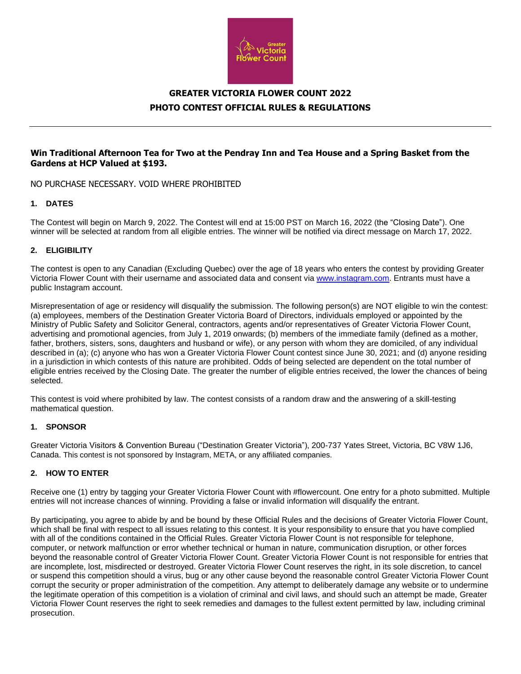

# **GREATER VICTORIA FLOWER COUNT 2022 PHOTO CONTEST OFFICIAL RULES & REGULATIONS**

## **Win Traditional Afternoon Tea for Two at the Pendray Inn and Tea House and a Spring Basket from the Gardens at HCP Valued at \$193.**

NO PURCHASE NECESSARY. VOID WHERE PROHIBITED

## **1. DATES**

The Contest will begin on March 9, 2022. The Contest will end at 15:00 PST on March 16, 2022 (the "Closing Date"). One winner will be selected at random from all eligible entries. The winner will be notified via direct message on March 17, 2022.

#### **2. ELIGIBILITY**

The contest is open to any Canadian (Excluding Quebec) over the age of 18 years who enters the contest by providing Greater Victoria Flower Count with their username and associated data and consent via [www.instagram.com.](http://www.instagram.com/) Entrants must have a public Instagram account.

Misrepresentation of age or residency will disqualify the submission. The following person(s) are NOT eligible to win the contest: (a) employees, members of the Destination Greater Victoria Board of Directors, individuals employed or appointed by the Ministry of Public Safety and Solicitor General, contractors, agents and/or representatives of Greater Victoria Flower Count, advertising and promotional agencies, from July 1, 2019 onwards; (b) members of the immediate family (defined as a mother, father, brothers, sisters, sons, daughters and husband or wife), or any person with whom they are domiciled, of any individual described in (a); (c) anyone who has won a Greater Victoria Flower Count contest since June 30, 2021; and (d) anyone residing in a jurisdiction in which contests of this nature are prohibited. Odds of being selected are dependent on the total number of eligible entries received by the Closing Date. The greater the number of eligible entries received, the lower the chances of being selected.

This contest is void where prohibited by law. The contest consists of a random draw and the answering of a skill-testing mathematical question.

#### **1. SPONSOR**

Greater Victoria Visitors & Convention Bureau ("Destination Greater Victoria"), 200-737 Yates Street, Victoria, BC V8W 1J6, Canada. This contest is not sponsored by Instagram, META, or any affiliated companies.

### **2. HOW TO ENTER**

Receive one (1) entry by tagging your Greater Victoria Flower Count with #flowercount. One entry for a photo submitted. Multiple entries will not increase chances of winning. Providing a false or invalid information will disqualify the entrant.

By participating, you agree to abide by and be bound by these Official Rules and the decisions of Greater Victoria Flower Count, which shall be final with respect to all issues relating to this contest. It is your responsibility to ensure that you have complied with all of the conditions contained in the Official Rules. Greater Victoria Flower Count is not responsible for telephone, computer, or network malfunction or error whether technical or human in nature, communication disruption, or other forces beyond the reasonable control of Greater Victoria Flower Count. Greater Victoria Flower Count is not responsible for entries that are incomplete, lost, misdirected or destroyed. Greater Victoria Flower Count reserves the right, in its sole discretion, to cancel or suspend this competition should a virus, bug or any other cause beyond the reasonable control Greater Victoria Flower Count corrupt the security or proper administration of the competition. Any attempt to deliberately damage any website or to undermine the legitimate operation of this competition is a violation of criminal and civil laws, and should such an attempt be made, Greater Victoria Flower Count reserves the right to seek remedies and damages to the fullest extent permitted by law, including criminal prosecution.